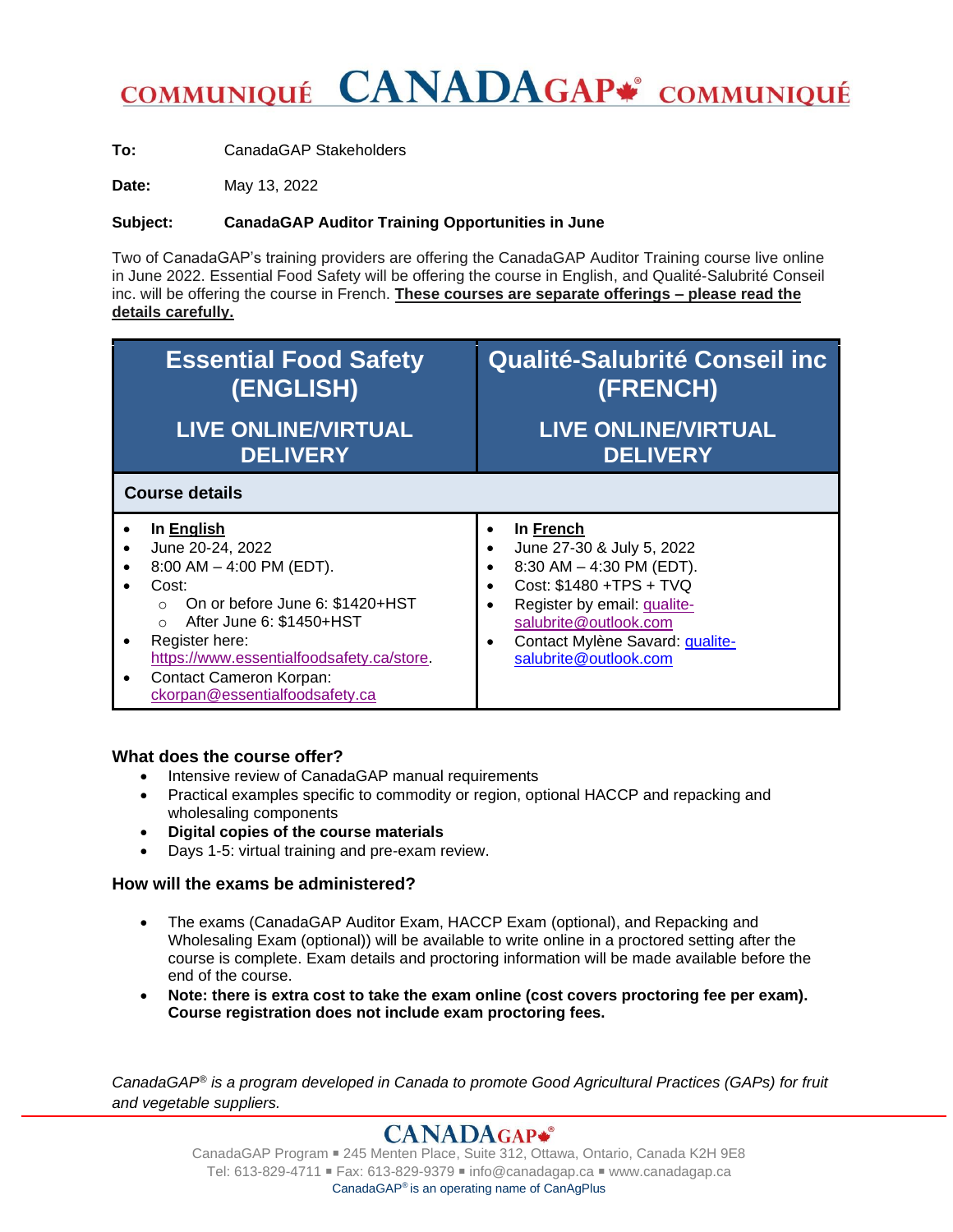## **CANADAGAP\*** COMMUNIQUÉ **COMMUNIQUÉ**

**To:** CanadaGAP Stakeholders

**Date:** May 13, 2022

### **Subject: CanadaGAP Auditor Training Opportunities in June**

Two of CanadaGAP's training providers are offering the CanadaGAP Auditor Training course live online in June 2022. Essential Food Safety will be offering the course in English, and Qualité-Salubrité Conseil inc. will be offering the course in French. **These courses are separate offerings – please read the details carefully.**

| <b>Essential Food Safety</b>                                                                                                                                                                                                                                                                     | <b>Qualité-Salubrité Conseil inc</b>                                                                                                                                                                                       |
|--------------------------------------------------------------------------------------------------------------------------------------------------------------------------------------------------------------------------------------------------------------------------------------------------|----------------------------------------------------------------------------------------------------------------------------------------------------------------------------------------------------------------------------|
| (ENGLISH)                                                                                                                                                                                                                                                                                        | (FRENCH)                                                                                                                                                                                                                   |
| <b>LIVE ONLINE/VIRTUAL</b>                                                                                                                                                                                                                                                                       | <b>LIVE ONLINE/VIRTUAL</b>                                                                                                                                                                                                 |
| <b>DELIVERY</b>                                                                                                                                                                                                                                                                                  | <b>DELIVERY</b>                                                                                                                                                                                                            |
| <b>Course details</b>                                                                                                                                                                                                                                                                            |                                                                                                                                                                                                                            |
| In English<br>June 20-24, 2022<br>$8:00$ AM $-$ 4:00 PM (EDT).<br>Cost:<br>On or before June 6: \$1420+HST<br>$\Omega$<br>After June 6: \$1450+HST<br>$\circ$<br>Register here:<br>https://www.essentialfoodsafety.ca/store.<br><b>Contact Cameron Korpan:</b><br>ckorpan@essentialfoodsafety.ca | In French<br>June 27-30 & July 5, 2022<br>8:30 AM $-$ 4:30 PM (EDT).<br>Cost: \$1480 +TPS + TVQ<br>Register by email: <i>qualite-</i><br>salubrite@outlook.com<br>Contact Mylène Savard: qualite-<br>salubrite@outlook.com |

#### **What does the course offer?**

- Intensive review of CanadaGAP manual requirements
- Practical examples specific to commodity or region, optional HACCP and repacking and wholesaling components
- **Digital copies of the course materials**
- Days 1-5: virtual training and pre-exam review.

### **How will the exams be administered?**

- The exams (CanadaGAP Auditor Exam, HACCP Exam (optional), and Repacking and Wholesaling Exam (optional)) will be available to write online in a proctored setting after the course is complete. Exam details and proctoring information will be made available before the end of the course.
- **Note: there is extra cost to take the exam online (cost covers proctoring fee per exam). Course registration does not include exam proctoring fees.**

*CanadaGAP® is a program developed in Canada to promote Good Agricultural Practices (GAPs) for fruit and vegetable suppliers.*